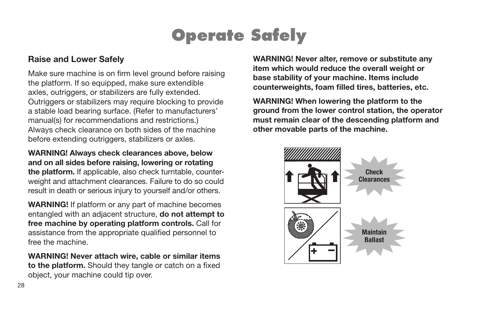## **Operate Safely**

#### Raise and Lower Safely

Make sure machine is on firm level ground before raising the platform. If so equipped, make sure extendible axles, outriggers, or stabilizers are fully extended. Outriggers or stabilizers may require blocking to provide a stable load bearing surface. (Refer to manufacturers' manual(s) for recommendations and restrictions.) Always check clearance on both sides of the machine before extending outriggers, stabilizers or axles.

WARNING! Always check clearances above, below and on all sides before raising, lowering or rotating the platform. If applicable, also check turntable, counterweight and attachment clearances. Failure to do so could result in death or serious injury to yourself and/or others.

WARNING! If platform or any part of machine becomes entangled with an adjacent structure, do not attempt to free machine by operating platform controls. Call for assistance from the appropriate qualified personnel to free the machine.

WARNING! Never attach wire, cable or similar items to the platform. Should they tangle or catch on a fixed object, your machine could tip over.

WARNING! Never alter, remove or substitute any item which would reduce the overall weight or base stability of your machine. Items include counterweights, foam filled tires, batteries, etc.

WARNING! When lowering the platform to the ground from the lower control station, the operator must remain clear of the descending platform and other movable parts of the machine.

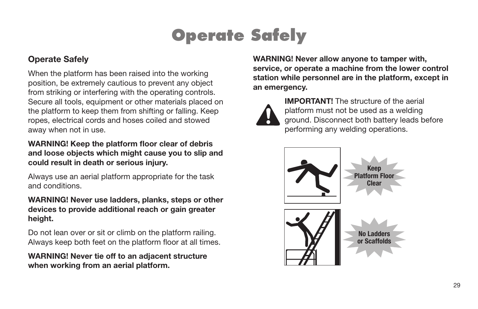# **Operate Safely**

### Operate Safely

When the platform has been raised into the working position, be extremely cautious to prevent any object from striking or interfering with the operating controls. Secure all tools, equipment or other materials placed on the platform to keep them from shifting or falling. Keep ropes, electrical cords and hoses coiled and stowed away when not in use.

WARNING! Keep the platform floor clear of debris and loose objects which might cause you to slip and could result in death or serious injury.

Always use an aerial platform appropriate for the task and conditions.

WARNING! Never use ladders, planks, steps or other devices to provide additional reach or gain greater height.

Do not lean over or sit or climb on the platform railing. Always keep both feet on the platform floor at all times.

WARNING! Never tie off to an adjacent structure when working from an aerial platform.

WARNING! Never allow anyone to tamper with, service, or operate a machine from the lower control station while personnel are in the platform, except in an emergency.



IMPORTANT! The structure of the aerial platform must not be used as a welding ground. Disconnect both battery leads before performing any welding operations.

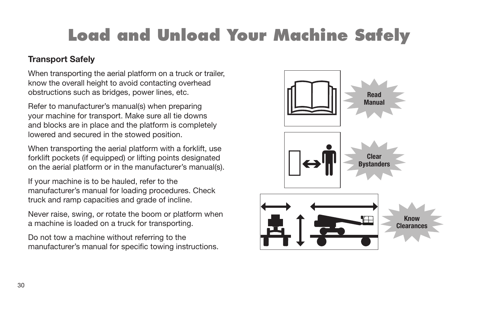# **Load and Unload Your Machine Safely**

### Transport Safely

When transporting the aerial platform on a truck or trailer, know the overall height to avoid contacting overhead obstructions such as bridges, power lines, etc.

Refer to manufacturer's manual(s) when preparing your machine for transport. Make sure all tie downs and blocks are in place and the platform is completely lowered and secured in the stowed position.

When transporting the aerial platform with a forklift, use forklift pockets (if equipped) or lifting points designated on the aerial platform or in the manufacturer's manual(s).

If your machine is to be hauled, refer to the manufacturer's manual for loading procedures. Check truck and ramp capacities and grade of incline.

Never raise, swing, or rotate the boom or platform when a machine is loaded on a truck for transporting.

Do not tow a machine without referring to the manufacturer's manual for specific towing instructions.